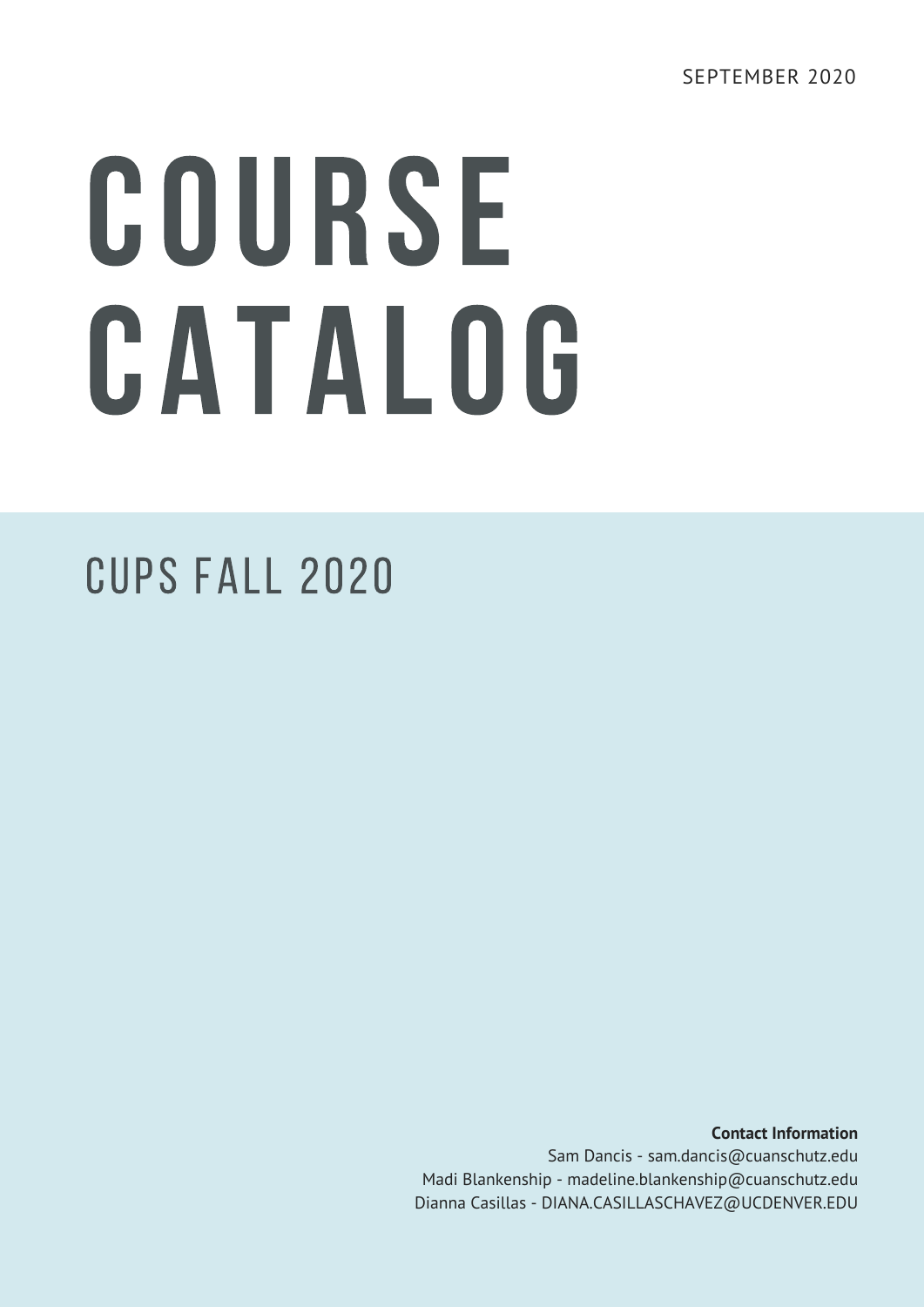# COURSE CATALOG

#### CUPS Fall 2020

**Contact Information** Sam Dancis - sam.dancis@cuanschutz.edu Madi Blankenship - madeline.blankenship@cuanschutz.edu Dianna Casillas - DIANA.CASILLASCHAVEZ@UCDENVER.EDU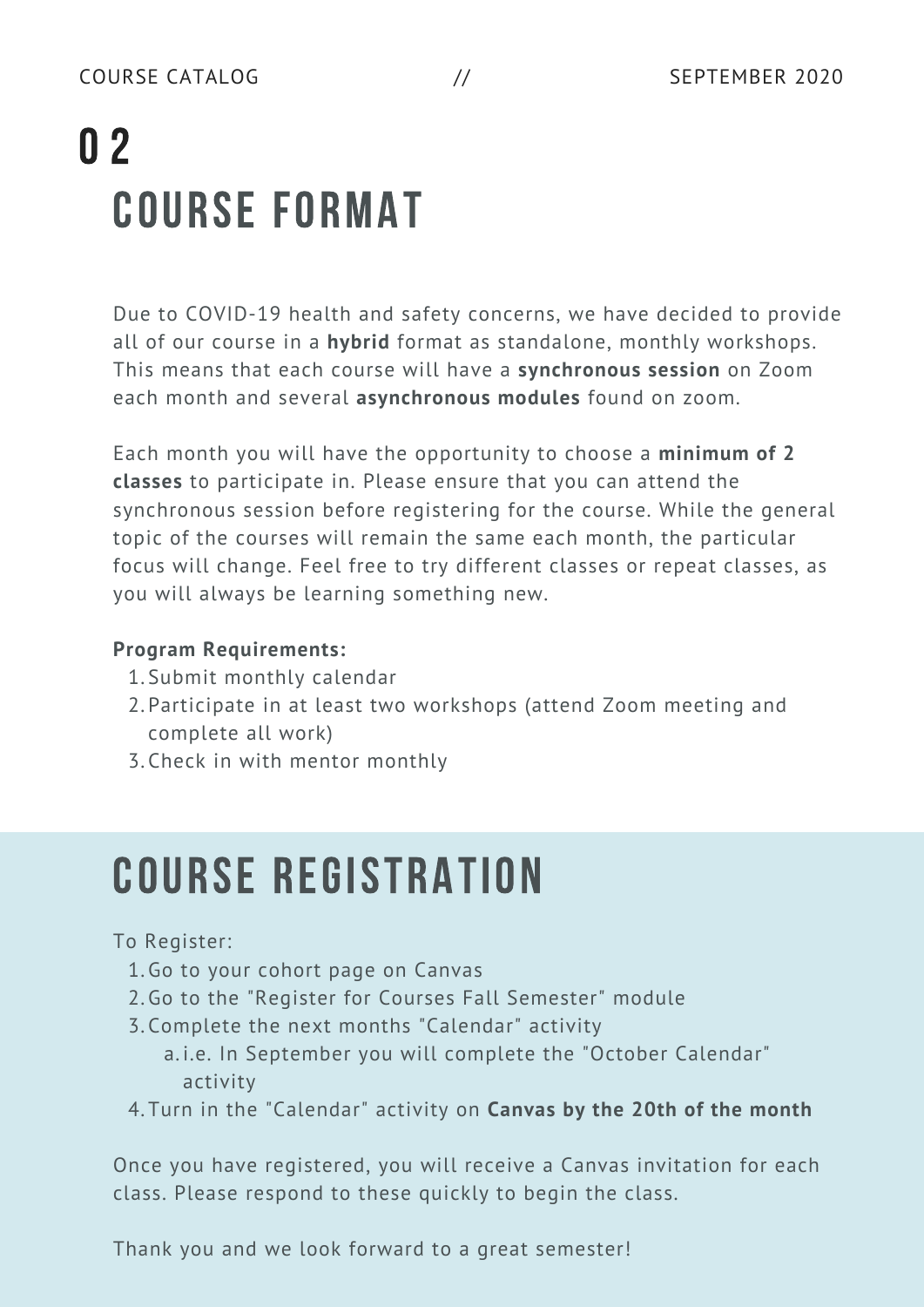# COURSE FORMAT 0 2

Due to COVID-19 health and safety concerns, we have decided to provide all of our course in a **hybrid** format as standalone, monthly workshops. This means that each course will have a **synchronous session** on Zoom each month and several **asynchronous modules** found on zoom.

Each month you will have the opportunity to choose a **minimum of 2 classes** to participate in. Please ensure that you can attend the synchronous session before registering for the course. While the general topic of the courses will remain the same each month, the particular focus will change. Feel free to try different classes or repeat classes, as you will always be learning something new.

#### **Program Requirements:**

- 1. Submit monthly calendar
- 2. Participate in at least two workshops (attend Zoom meeting and complete all work)
- Check in with mentor monthly 3.

## COURSE REGISTRATION

#### To Register:

- 1. Go to your cohort page on Canvas
- 2. Go to the "Register for Courses Fall Semester" module
- 3. Complete the next months "Calendar" activity
	- a.i.e. In September you will complete the "October Calendar" activity
- Turn in the "Calendar" activity on **Canvas by the 20th of the month** 4.

Once you have registered, you will receive a Canvas invitation for each class. Please respond to these quickly to begin the class.

Thank you and we look forward to a great semester!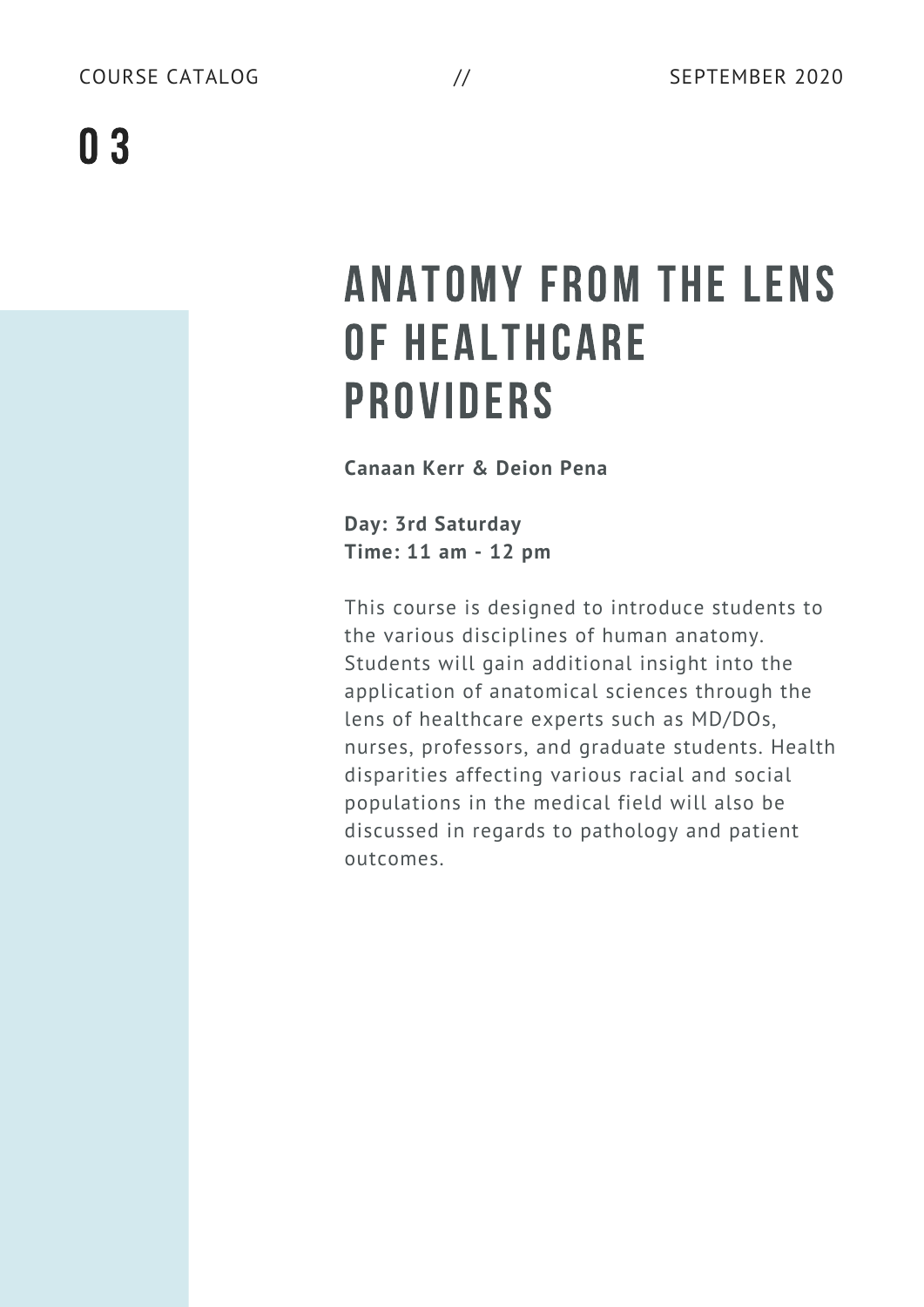#### ANATOMY FROM THE LENS OF HEALTHCARE PROVIDERS

**Canaan Kerr & Deion Pena**

**Day: 3rd Saturday Time: 11 am - 12 pm**

This course is designed to introduce students to the various disciplines of human anatomy. Students will gain additional insight into the application of anatomical sciences through the lens of healthcare experts such as MD/DOs, nurses, professors, and graduate students. Health disparities affecting various racial and social populations in the medical field will also be discussed in regards to pathology and patient outcomes.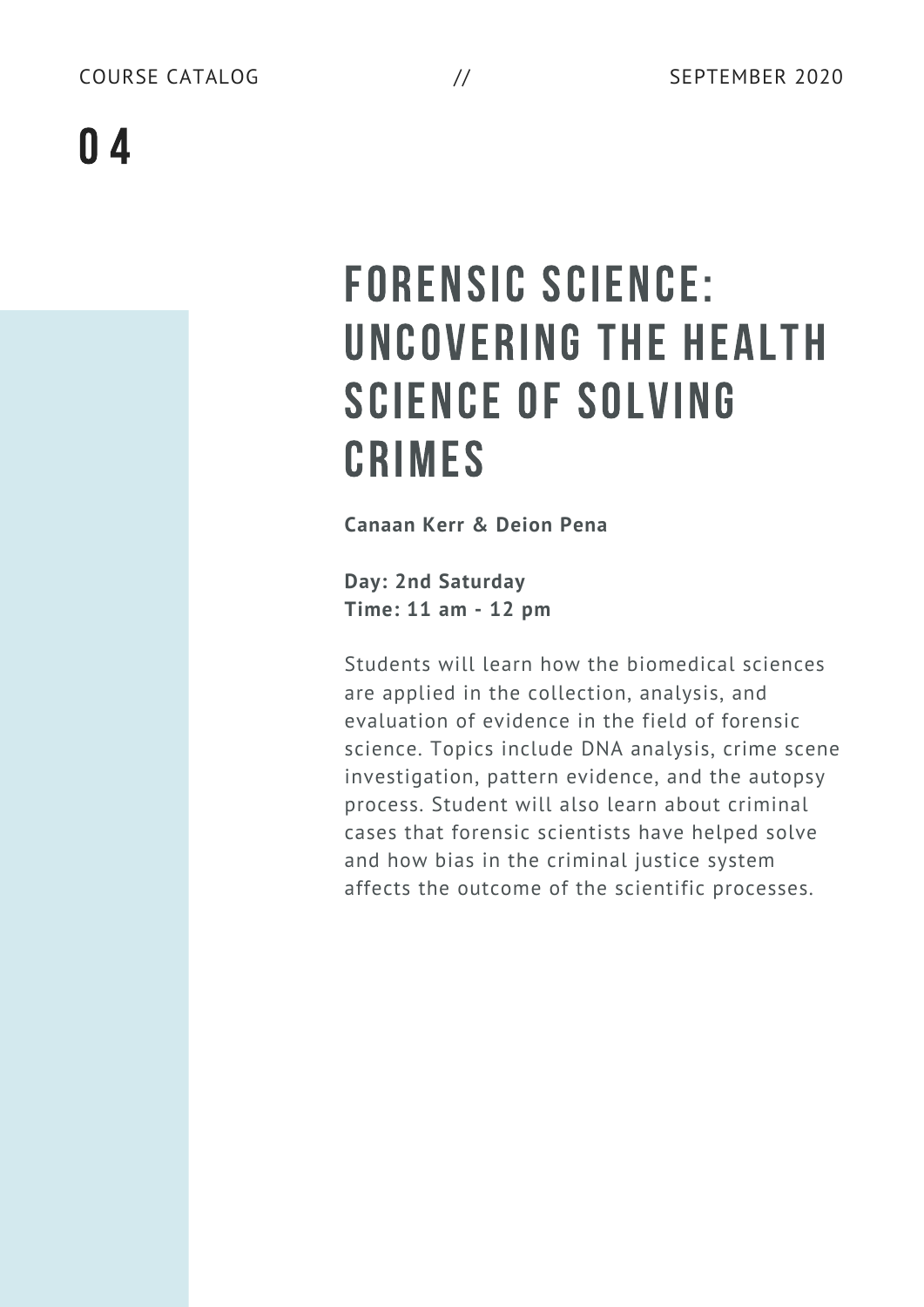# FORENSIC SCIENCE: UNCOVERING THE HEALTH SCIENCE OF SOLVING CRIMES

**Canaan Kerr & Deion Pena**

**Day: 2nd Saturday Time: 11 am - 12 pm**

Students will learn how the biomedical sciences are applied in the collection, analysis, and evaluation of evidence in the field of forensic science. Topics include DNA analysis, crime scene investigation, pattern evidence, and the autopsy process. Student will also learn about criminal cases that forensic scientists have helped solve and how bias in the criminal justice system affects the outcome of the scientific processes.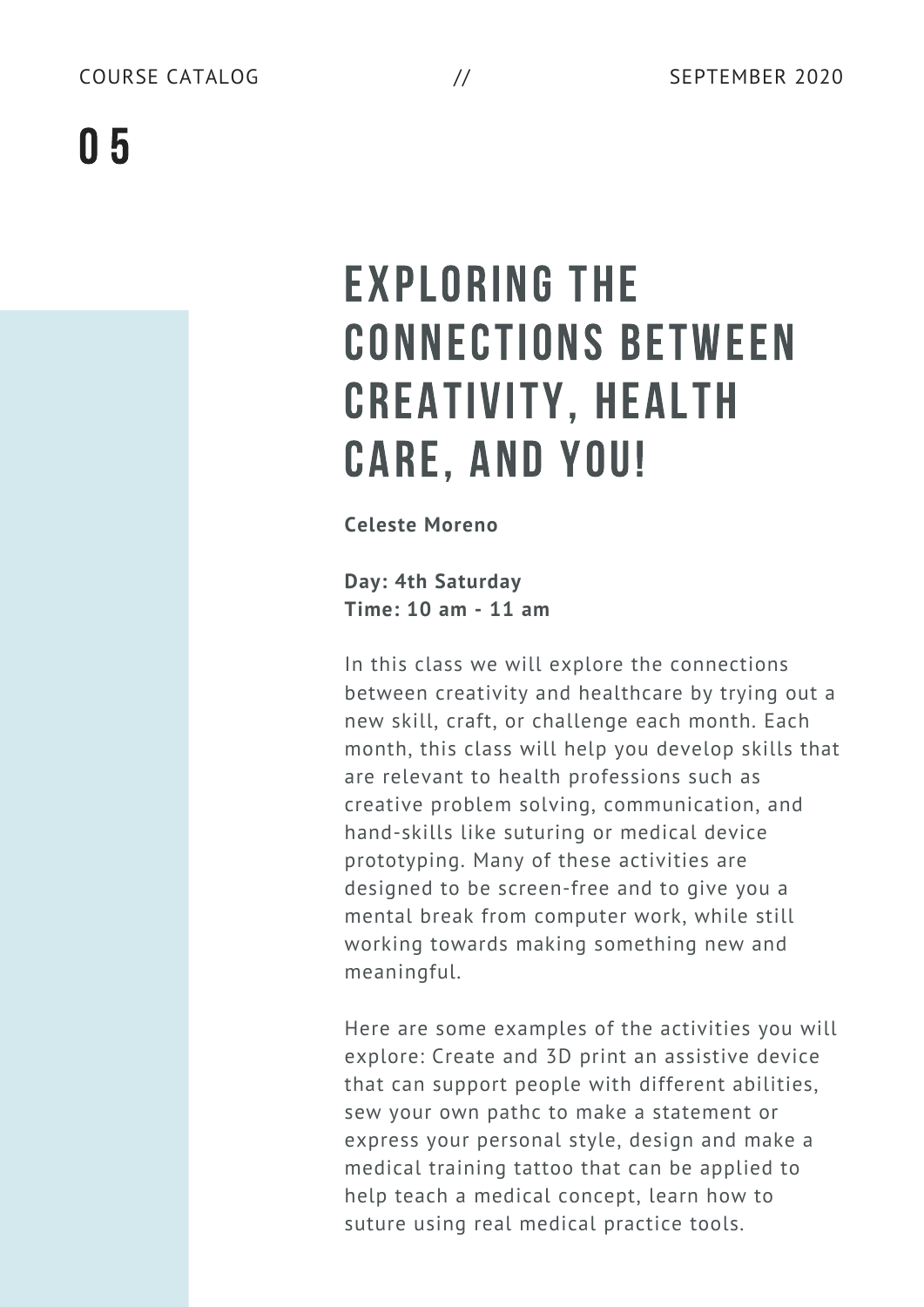# EXPLORING THE CONNECTIONS BETWEEN CREATIVITY, HEALTH CARE, AND YOU!

**Celeste Moreno**

**Day: 4th Saturday Time: 10 am - 11 am**

In this class we will explore the connections between creativity and healthcare by trying out a new skill, craft, or challenge each month. Each month, this class will help you develop skills that are relevant to health professions such as creative problem solving, communication, and hand-skills like suturing or medical device prototyping. Many of these activities are designed to be screen-free and to give you a mental break from computer work, while still working towards making something new and meaningful.

Here are some examples of the activities you will explore: Create and 3D print an assistive device that can support people with different abilities, sew your own pathc to make a statement or express your personal style, design and make a medical training tattoo that can be applied to help teach a medical concept, learn how to suture using real medical practice tools.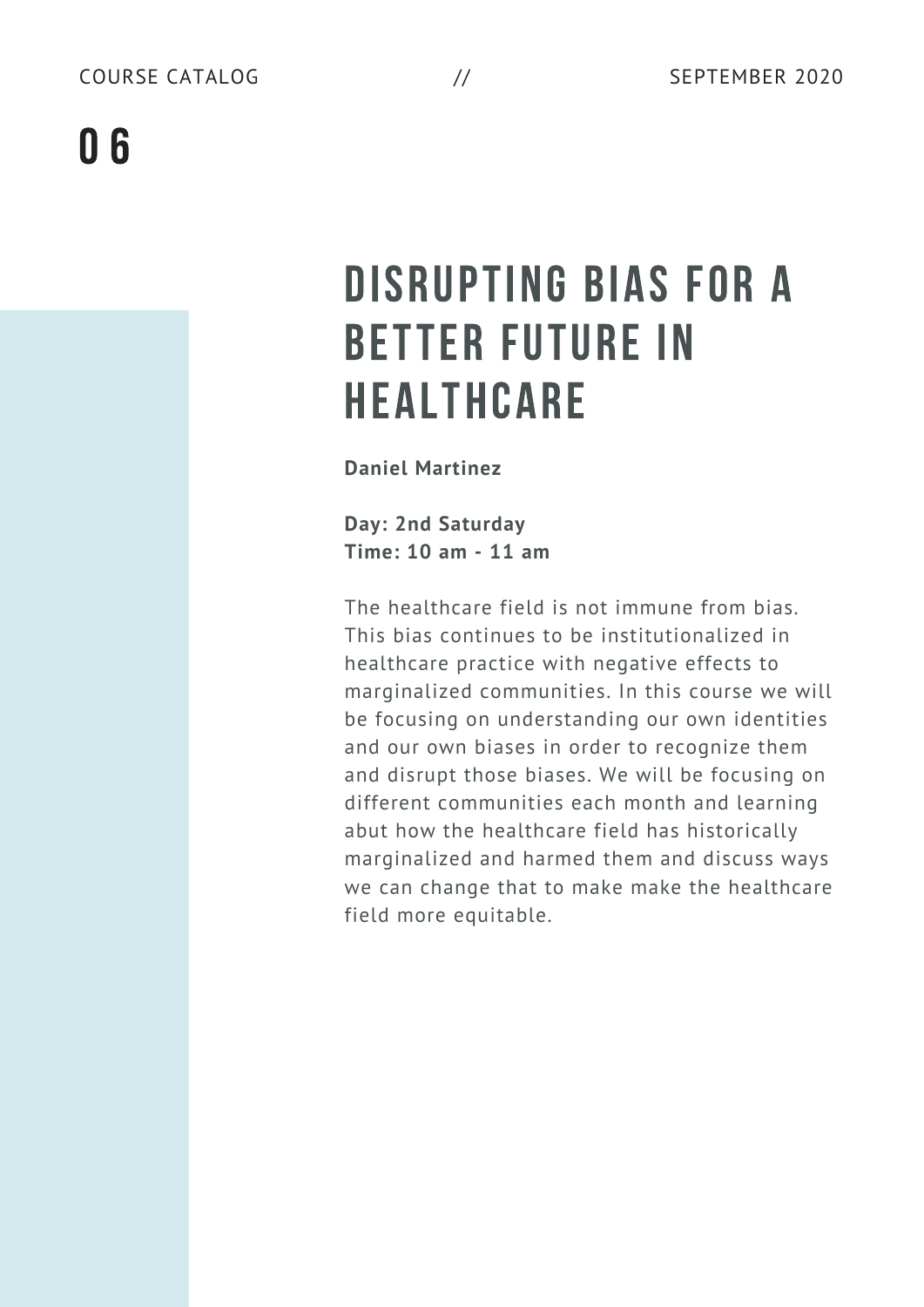## DISRUPTING BIAS FOR A BETTER FUTURE IN HEALTHCARE

**Daniel Martinez**

**Day: 2nd Saturday Time: 10 am - 11 am**

The healthcare field is not immune from bias. This bias continues to be institutionalized in healthcare practice with negative effects to marginalized communities. In this course we will be focusing on understanding our own identities and our own biases in order to recognize them and disrupt those biases. We will be focusing on different communities each month and learning abut how the healthcare field has historically marginalized and harmed them and discuss ways we can change that to make make the healthcare field more equitable.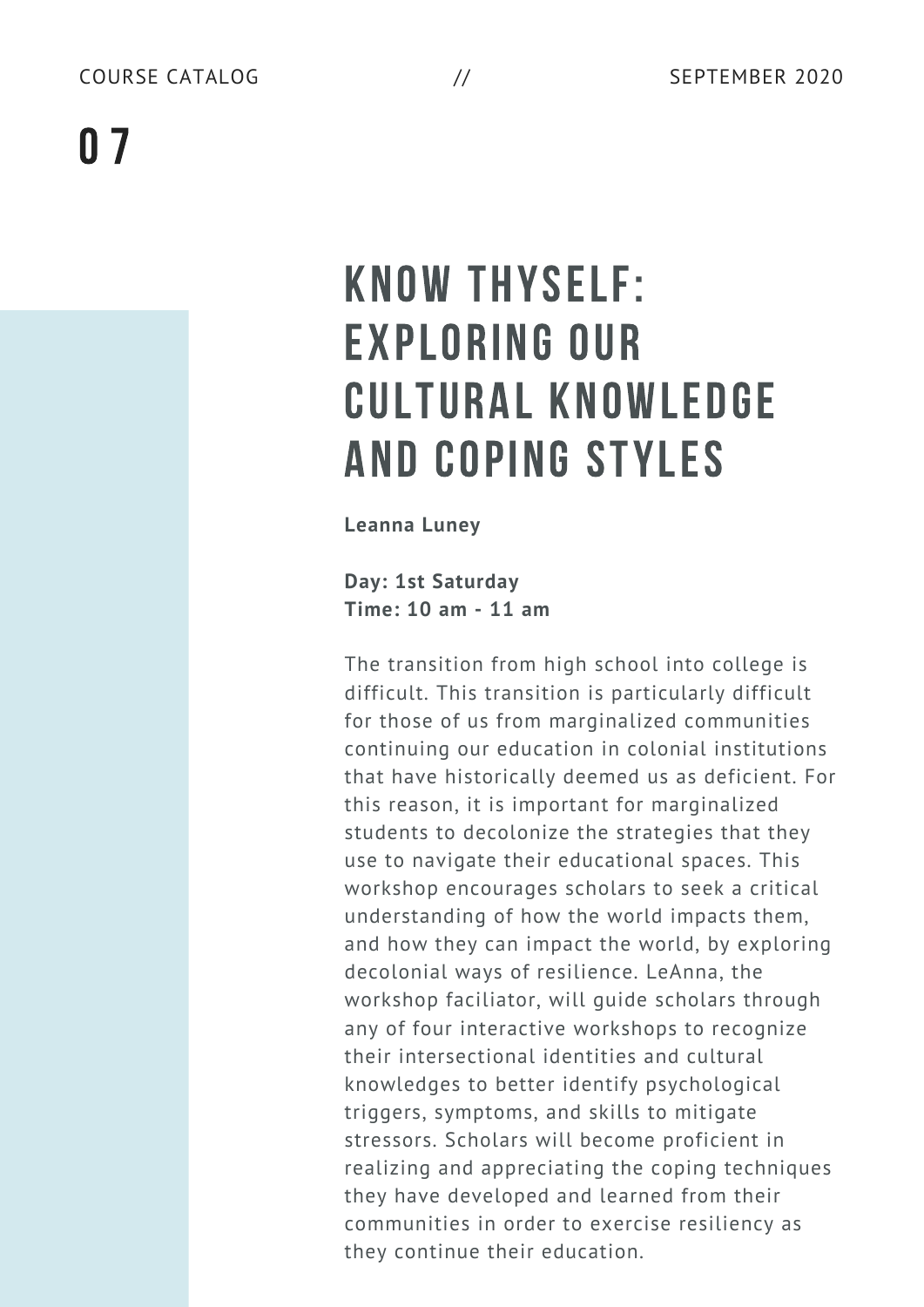## KNOW THYSELF: EXPLORING OUR CULTURAL KNOWLEDGE AND COPING STYLES

**Leanna Luney**

**Day: 1st Saturday Time: 10 am - 11 am**

The transition from high school into college is difficult. This transition is particularly difficult for those of us from marginalized communities continuing our education in colonial institutions that have historically deemed us as deficient. For this reason, it is important for marginalized students to decolonize the strategies that they use to navigate their educational spaces. This workshop encourages scholars to seek a critical understanding of how the world impacts them, and how they can impact the world, by exploring decolonial ways of resilience. LeAnna, the workshop faciliator, will guide scholars through any of four interactive workshops to recognize their intersectional identities and cultural knowledges to better identify psychological triggers, symptoms, and skills to mitigate stressors. Scholars will become proficient in realizing and appreciating the coping techniques they have developed and learned from their communities in order to exercise resiliency as they continue their education.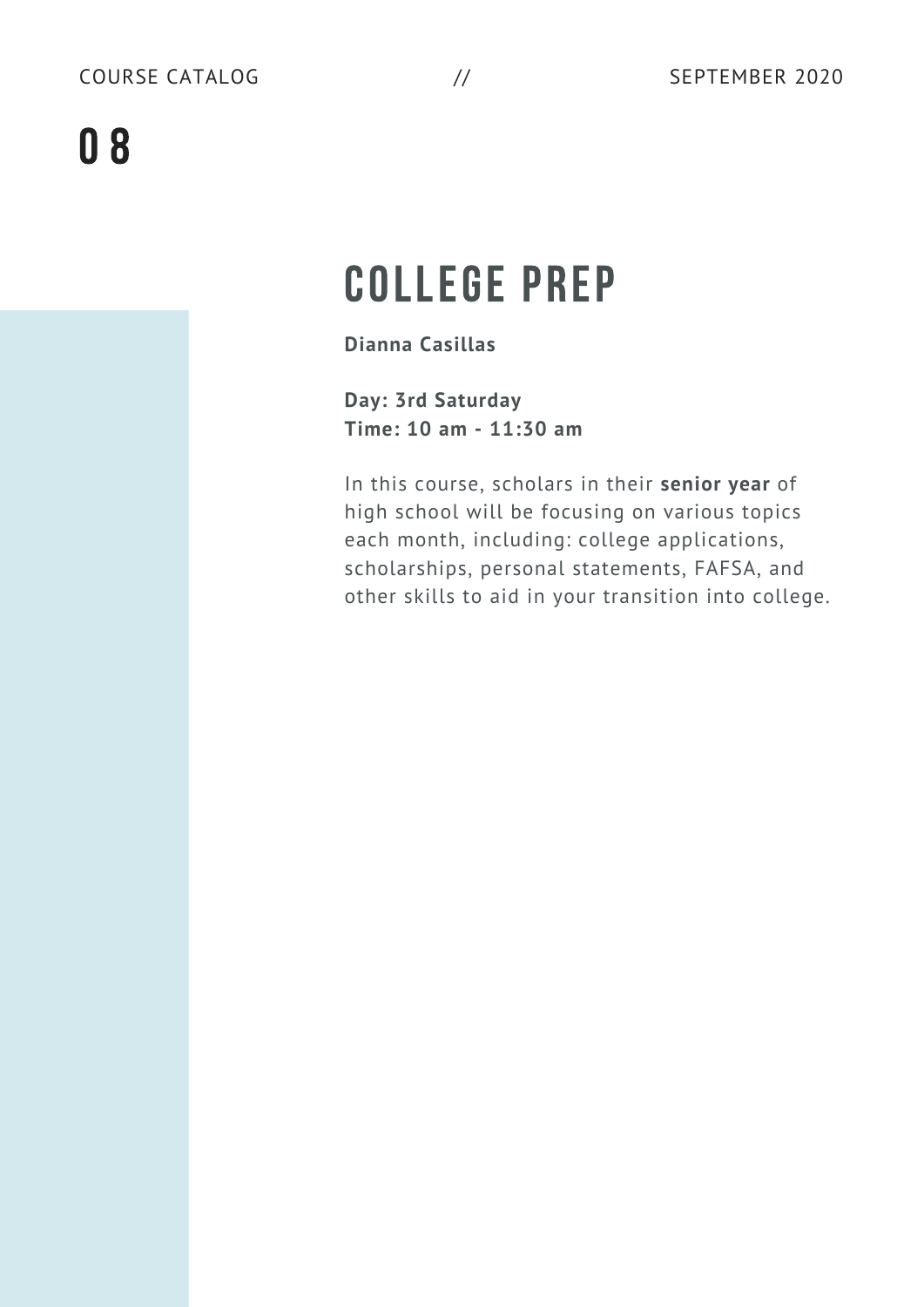## COLLEGE PREP

**Dianna Casillas**

**Day: 3rd Saturday Time: 10 am - 11:30 am**

In this course, scholars in their **senior year** of high school will be focusing on various topics each month, including: college applications, scholarships, personal statements, FAFSA, and other skills to aid in your transition into college.